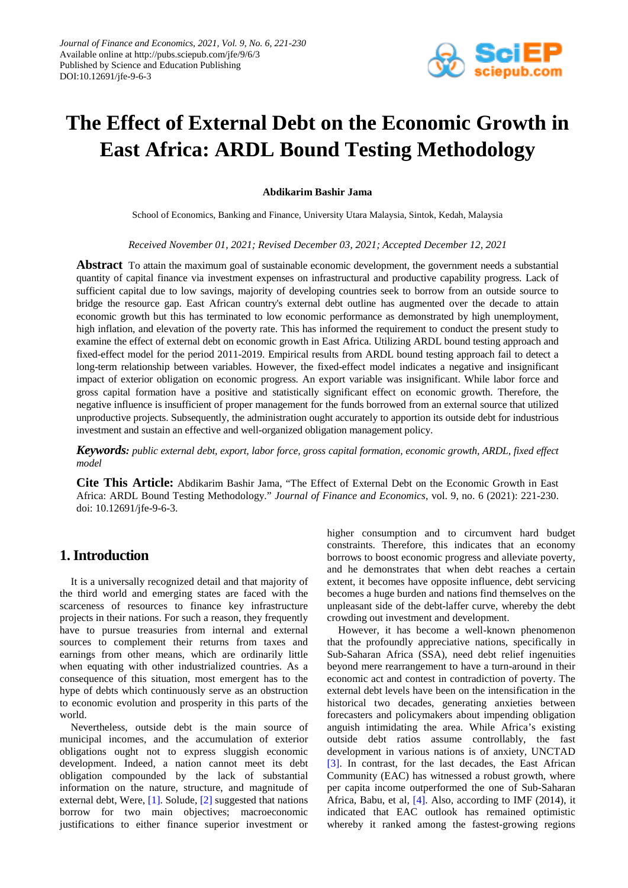

# **The Effect of External Debt on the Economic Growth in East Africa: ARDL Bound Testing Methodology**

## **Abdikarim Bashir Jama**

School of Economics, Banking and Finance, University Utara Malaysia, Sintok, Kedah, Malaysia

*Received November 01, 2021; Revised December 03, 2021; Accepted December 12, 2021*

**Abstract** To attain the maximum goal of sustainable economic development, the government needs a substantial quantity of capital finance via investment expenses on infrastructural and productive capability progress. Lack of sufficient capital due to low savings, majority of developing countries seek to borrow from an outside source to bridge the resource gap. East African country's external debt outline has augmented over the decade to attain economic growth but this has terminated to low economic performance as demonstrated by high unemployment, high inflation, and elevation of the poverty rate. This has informed the requirement to conduct the present study to examine the effect of external debt on economic growth in East Africa. Utilizing ARDL bound testing approach and fixed-effect model for the period 2011-2019. Empirical results from ARDL bound testing approach fail to detect a long-term relationship between variables. However, the fixed-effect model indicates a negative and insignificant impact of exterior obligation on economic progress. An export variable was insignificant. While labor force and gross capital formation have a positive and statistically significant effect on economic growth. Therefore, the negative influence is insufficient of proper management for the funds borrowed from an external source that utilized unproductive projects. Subsequently, the administration ought accurately to apportion its outside debt for industrious investment and sustain an effective and well-organized obligation management policy.

*Keywords: public external debt, export, labor force, gross capital formation, economic growth, ARDL, fixed effect model*

**Cite This Article:** Abdikarim Bashir Jama, "The Effect of External Debt on the Economic Growth in East Africa: ARDL Bound Testing Methodology." *Journal of Finance and Economics*, vol. 9, no. 6 (2021): 221-230. doi: 10.12691/jfe-9-6-3.

# **1. Introduction**

It is a universally recognized detail and that majority of the third world and emerging states are faced with the scarceness of resources to finance key infrastructure projects in their nations. For such a reason, they frequently have to pursue treasuries from internal and external sources to complement their returns from taxes and earnings from other means, which are ordinarily little when equating with other industrialized countries. As a consequence of this situation, most emergent has to the hype of debts which continuously serve as an obstruction to economic evolution and prosperity in this parts of the world.

Nevertheless, outside debt is the main source of municipal incomes, and the accumulation of exterior obligations ought not to express sluggish economic development. Indeed, a nation cannot meet its debt obligation compounded by the lack of substantial information on the nature, structure, and magnitude of external debt, Were, [\[1\].](#page-8-0) Solude[, \[2\]](#page-8-1) suggested that nations borrow for two main objectives; macroeconomic justifications to either finance superior investment or higher consumption and to circumvent hard budget constraints. Therefore, this indicates that an economy borrows to boost economic progress and alleviate poverty, and he demonstrates that when debt reaches a certain extent, it becomes have opposite influence, debt servicing becomes a huge burden and nations find themselves on the unpleasant side of the debt-laffer curve, whereby the debt crowding out investment and development.

However, it has become a well-known phenomenon that the profoundly appreciative nations, specifically in Sub-Saharan Africa (SSA), need debt relief ingenuities beyond mere rearrangement to have a turn-around in their economic act and contest in contradiction of poverty. The external debt levels have been on the intensification in the historical two decades, generating anxieties between forecasters and policymakers about impending obligation anguish intimidating the area. While Africa's existing outside debt ratios assume controllably, the fast development in various nations is of anxiety, UNCTAD [\[3\].](#page-8-2) In contrast, for the last decades, the East African Community (EAC) has witnessed a robust growth, where per capita income outperformed the one of Sub-Saharan Africa, Babu, et al, [\[4\].](#page-8-3) Also, according to IMF (2014), it indicated that EAC outlook has remained optimistic whereby it ranked among the fastest-growing regions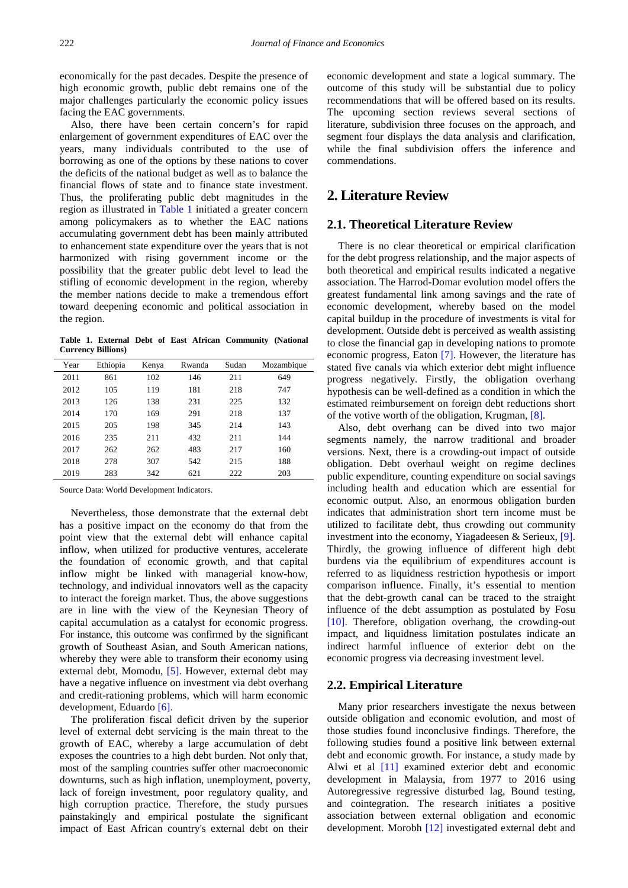economically for the past decades. Despite the presence of high economic growth, public debt remains one of the major challenges particularly the economic policy issues facing the EAC governments.

Also, there have been certain concern's for rapid enlargement of government expenditures of EAC over the years, many individuals contributed to the use of borrowing as one of the options by these nations to cover the deficits of the national budget as well as to balance the financial flows of state and to finance state investment. Thus, the proliferating public debt magnitudes in the region as illustrated in [Table 1](#page-1-0) initiated a greater concern among policymakers as to whether the EAC nations accumulating government debt has been mainly attributed to enhancement state expenditure over the years that is not harmonized with rising government income or the possibility that the greater public debt level to lead the stifling of economic development in the region, whereby the member nations decide to make a tremendous effort toward deepening economic and political association in the region.

**Table 1. External Debt of East African Community (National Currency Billions)**

<span id="page-1-0"></span>

| Year | Ethiopia | Kenya | Rwanda | Sudan | Mozambique |
|------|----------|-------|--------|-------|------------|
| 2011 | 861      | 102   | 146    | 211   | 649        |
| 2012 | 105      | 119   | 181    | 218   | 747        |
| 2013 | 126      | 138   | 231    | 225   | 132        |
| 2014 | 170      | 169   | 291    | 218   | 137        |
| 2015 | 205      | 198   | 345    | 214   | 143        |
| 2016 | 235      | 211   | 432    | 211   | 144        |
| 2017 | 262      | 262   | 483    | 217   | 160        |
| 2018 | 278      | 307   | 542    | 215   | 188        |
| 2019 | 283      | 342   | 621    | 222   | 203        |

Source Data: World Development Indicators.

Nevertheless, those demonstrate that the external debt has a positive impact on the economy do that from the point view that the external debt will enhance capital inflow, when utilized for productive ventures, accelerate the foundation of economic growth, and that capital inflow might be linked with managerial know-how, technology, and individual innovators well as the capacity to interact the foreign market. Thus, the above suggestions are in line with the view of the Keynesian Theory of capital accumulation as a catalyst for economic progress. For instance, this outcome was confirmed by the significant growth of Southeast Asian, and South American nations, whereby they were able to transform their economy using external debt, Momodu, [\[5\].](#page-8-4) However, external debt may have a negative influence on investment via debt overhang and credit-rationing problems, which will harm economic development, Eduardo [\[6\].](#page-8-5)

The proliferation fiscal deficit driven by the superior level of external debt servicing is the main threat to the growth of EAC, whereby a large accumulation of debt exposes the countries to a high debt burden. Not only that, most of the sampling countries suffer other macroeconomic downturns, such as high inflation, unemployment, poverty, lack of foreign investment, poor regulatory quality, and high corruption practice. Therefore, the study pursues painstakingly and empirical postulate the significant impact of East African country's external debt on their economic development and state a logical summary. The outcome of this study will be substantial due to policy recommendations that will be offered based on its results. The upcoming section reviews several sections of literature, subdivision three focuses on the approach, and segment four displays the data analysis and clarification, while the final subdivision offers the inference and commendations.

# **2. Literature Review**

# **2.1. Theoretical Literature Review**

There is no clear theoretical or empirical clarification for the debt progress relationship, and the major aspects of both theoretical and empirical results indicated a negative association. The Harrod-Domar evolution model offers the greatest fundamental link among savings and the rate of economic development, whereby based on the model capital buildup in the procedure of investments is vital for development. Outside debt is perceived as wealth assisting to close the financial gap in developing nations to promote economic progress, Eaton [\[7\].](#page-8-6) However, the literature has stated five canals via which exterior debt might influence progress negatively. Firstly, the obligation overhang hypothesis can be well-defined as a condition in which the estimated reimbursement on foreign debt reductions short of the votive worth of the obligation, Krugman, [\[8\].](#page-8-7)

Also, debt overhang can be dived into two major segments namely, the narrow traditional and broader versions. Next, there is a crowding-out impact of outside obligation. Debt overhaul weight on regime declines public expenditure, counting expenditure on social savings including health and education which are essential for economic output. Also, an enormous obligation burden indicates that administration short tern income must be utilized to facilitate debt, thus crowding out community investment into the economy, Yiagadeesen & Serieux, [\[9\].](#page-8-8) Thirdly, the growing influence of different high debt burdens via the equilibrium of expenditures account is referred to as liquidness restriction hypothesis or import comparison influence. Finally, it's essential to mention that the debt-growth canal can be traced to the straight influence of the debt assumption as postulated by Fosu [\[10\].](#page-8-9) Therefore, obligation overhang, the crowding-out impact, and liquidness limitation postulates indicate an indirect harmful influence of exterior debt on the economic progress via decreasing investment level.

## **2.2. Empirical Literature**

Many prior researchers investigate the nexus between outside obligation and economic evolution, and most of those studies found inconclusive findings. Therefore, the following studies found a positive link between external debt and economic growth. For instance, a study made by Alwi et al [\[11\]](#page-8-10) examined exterior debt and economic development in Malaysia, from 1977 to 2016 using Autoregressive regressive disturbed lag, Bound testing, and cointegration. The research initiates a positive association between external obligation and economic development. Morobh [\[12\]](#page-8-11) investigated external debt and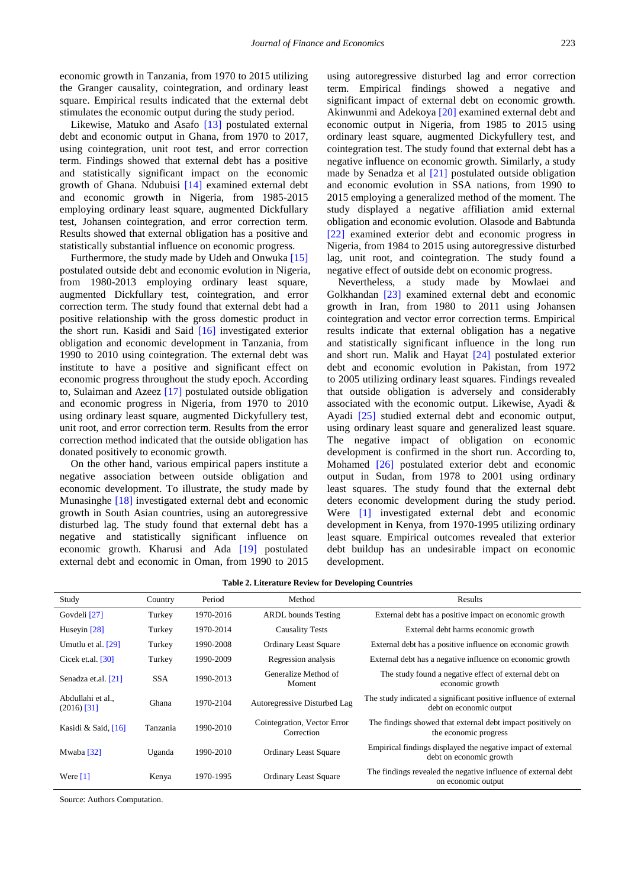economic growth in Tanzania, from 1970 to 2015 utilizing the Granger causality, cointegration, and ordinary least square. Empirical results indicated that the external debt stimulates the economic output during the study period.

Likewise, Matuko and Asafo [\[13\]](#page-8-12) postulated external debt and economic output in Ghana, from 1970 to 2017, using cointegration, unit root test, and error correction term. Findings showed that external debt has a positive and statistically significant impact on the economic growth of Ghana. Ndubuisi [\[14\]](#page-8-13) examined external debt and economic growth in Nigeria, from 1985-2015 employing ordinary least square, augmented Dickfullary test, Johansen cointegration, and error correction term. Results showed that external obligation has a positive and statistically substantial influence on economic progress.

Furthermore, the study made by Udeh and Onwuka [\[15\]](#page-8-14) postulated outside debt and economic evolution in Nigeria, from 1980-2013 employing ordinary least square, augmented Dickfullary test, cointegration, and error correction term. The study found that external debt had a positive relationship with the gross domestic product in the short run. Kasidi and Said [\[16\]](#page-8-15) investigated exterior obligation and economic development in Tanzania, from 1990 to 2010 using cointegration. The external debt was institute to have a positive and significant effect on economic progress throughout the study epoch. According to, Sulaiman and Azeez [\[17\]](#page-8-16) postulated outside obligation and economic progress in Nigeria, from 1970 to 2010 using ordinary least square, augmented Dickyfullery test, unit root, and error correction term. Results from the error correction method indicated that the outside obligation has donated positively to economic growth.

On the other hand, various empirical papers institute a negative association between outside obligation and economic development. To illustrate, the study made by Munasinghe [\[18\]](#page-8-17) investigated external debt and economic growth in South Asian countries, using an autoregressive disturbed lag. The study found that external debt has a negative and statistically significant influence on economic growth. Kharusi and Ada [\[19\]](#page-9-0) postulated external debt and economic in Oman, from 1990 to 2015 using autoregressive disturbed lag and error correction term. Empirical findings showed a negative and significant impact of external debt on economic growth. Akinwunmi and Adekoya [\[20\]](#page-9-1) examined external debt and economic output in Nigeria, from 1985 to 2015 using ordinary least square, augmented Dickyfullery test, and cointegration test. The study found that external debt has a negative influence on economic growth. Similarly, a study made by Senadza et al [\[21\]](#page-9-2) postulated outside obligation and economic evolution in SSA nations, from 1990 to 2015 employing a generalized method of the moment. The study displayed a negative affiliation amid external obligation and economic evolution. Olasode and Babtunda [\[22\]](#page-9-3) examined exterior debt and economic progress in Nigeria, from 1984 to 2015 using autoregressive disturbed lag, unit root, and cointegration. The study found a negative effect of outside debt on economic progress.

Nevertheless, a study made by Mowlaei and Golkhandan [\[23\]](#page-9-4) examined external debt and economic growth in Iran, from 1980 to 2011 using Johansen cointegration and vector error correction terms. Empirical results indicate that external obligation has a negative and statistically significant influence in the long run and short run. Malik and Hayat [\[24\]](#page-9-5) postulated exterior debt and economic evolution in Pakistan, from 1972 to 2005 utilizing ordinary least squares. Findings revealed that outside obligation is adversely and considerably associated with the economic output. Likewise, Ayadi & Ayadi [\[25\]](#page-9-6) studied external debt and economic output, using ordinary least square and generalized least square. The negative impact of obligation on economic development is confirmed in the short run. According to, Mohamed [\[26\]](#page-9-7) postulated exterior debt and economic output in Sudan, from 1978 to 2001 using ordinary least squares. The study found that the external debt deters economic development during the study period. Were [\[1\]](#page-8-0) investigated external debt and economic development in Kenya, from 1970-1995 utilizing ordinary least square. Empirical outcomes revealed that exterior debt buildup has an undesirable impact on economic development.

|  | <b>Table 2. Literature Review for Developing Countries</b> |  |  |  |  |  |  |
|--|------------------------------------------------------------|--|--|--|--|--|--|
|--|------------------------------------------------------------|--|--|--|--|--|--|

| Study                            | Country    | Period    | Method                                    | Results                                                                                     |
|----------------------------------|------------|-----------|-------------------------------------------|---------------------------------------------------------------------------------------------|
| Govdeli [27]                     | Turkey     | 1970-2016 | <b>ARDL</b> bounds Testing                | External debt has a positive impact on economic growth                                      |
| Huseyin $[28]$                   | Turkey     | 1970-2014 | <b>Causality Tests</b>                    | External debt harms economic growth                                                         |
| Umutlu et al. [29]               | Turkey     | 1990-2008 | <b>Ordinary Least Square</b>              | External debt has a positive influence on economic growth                                   |
| Cicek et.al. $[30]$              | Turkey     | 1990-2009 | Regression analysis                       | External debt has a negative influence on economic growth                                   |
| Senadza et.al. [21]              | <b>SSA</b> | 1990-2013 | Generalize Method of<br>Moment            | The study found a negative effect of external debt on<br>economic growth                    |
| Abdullahi et al<br>$(2016)$ [31] | Ghana      | 1970-2104 | Autoregressive Disturbed Lag              | The study indicated a significant positive influence of external<br>debt on economic output |
| Kasidi & Said, [16]              | Tanzania   | 1990-2010 | Cointegration, Vector Error<br>Correction | The findings showed that external debt impact positively on<br>the economic progress        |
| Mwaba [32]                       | Uganda     | 1990-2010 | <b>Ordinary Least Square</b>              | Empirical findings displayed the negative impact of external<br>debt on economic growth     |
| Were $[1]$                       | Kenya      | 1970-1995 | <b>Ordinary Least Square</b>              | The findings revealed the negative influence of external debt<br>on economic output         |

Source: Authors Computation.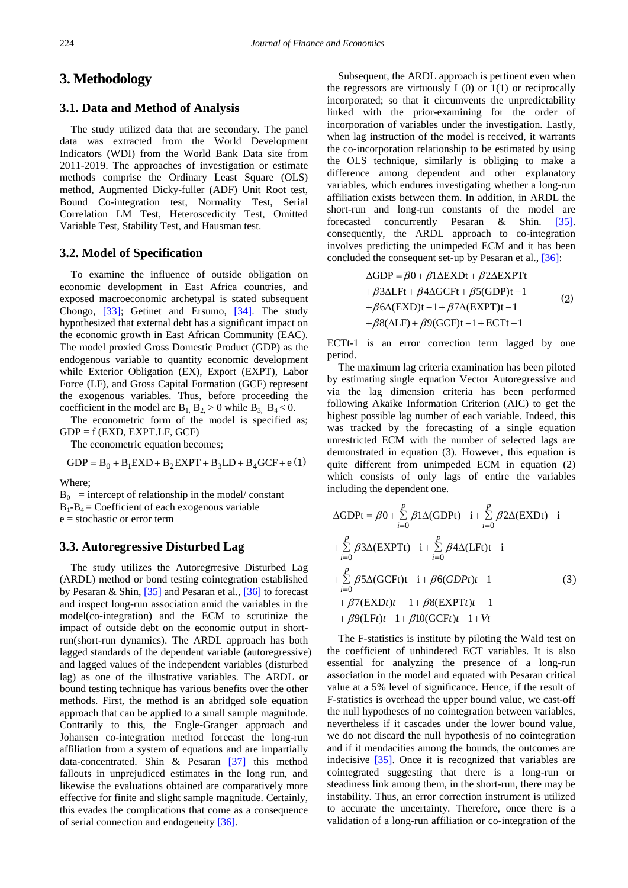# **3. Methodology**

## **3.1. Data and Method of Analysis**

The study utilized data that are secondary. The panel data was extracted from the World Development Indicators (WDI) from the World Bank Data site from 2011-2019. The approaches of investigation or estimate methods comprise the Ordinary Least Square (OLS) method, Augmented Dicky-fuller (ADF) Unit Root test, Bound Co-integration test, Normality Test, Serial Correlation LM Test, Heteroscedicity Test, Omitted Variable Test, Stability Test, and Hausman test.

## **3.2. Model of Specification**

To examine the influence of outside obligation on economic development in East Africa countries, and exposed macroeconomic archetypal is stated subsequent Chongo, [\[33\];](#page-9-14) Getinet and Ersumo, [\[34\].](#page-9-15) The study hypothesized that external debt has a significant impact on the economic growth in East African Community (EAC). The model proxied Gross Domestic Product (GDP) as the endogenous variable to quantity economic development while Exterior Obligation (EX), Export (EXPT), Labor Force (LF), and Gross Capital Formation (GCF) represent the exogenous variables. Thus, before proceeding the coefficient in the model are  $B_1, B_2 > 0$  while  $B_3, B_4 < 0$ .

The econometric form of the model is specified as;  $GDP = f$  (EXD, EXPT.LF, GCF)

The econometric equation becomes;

$$
GDP = B0 + B1EXP + B2EXPT + B3LD + B4GCF + e(1)
$$

Where;

 $B_0$  = intercept of relationship in the model/ constant  $B_1 - B_4 =$  Coefficient of each exogenous variable e = stochastic or error term

# **3.3. Autoregressive Disturbed Lag**

The study utilizes the Autoregrresive Disturbed Lag (ARDL) method or bond testing cointegration established by Pesaran & Shin, [\[35\]](#page-9-16) and Pesaran et al., [\[36\]](#page-9-17) to forecast and inspect long-run association amid the variables in the model(co-integration) and the ECM to scrutinize the impact of outside debt on the economic output in shortrun(short-run dynamics). The ARDL approach has both lagged standards of the dependent variable (autoregressive) and lagged values of the independent variables (disturbed lag) as one of the illustrative variables. The ARDL or bound testing technique has various benefits over the other methods. First, the method is an abridged sole equation approach that can be applied to a small sample magnitude. Contrarily to this, the Engle-Granger approach and Johansen co-integration method forecast the long-run affiliation from a system of equations and are impartially data-concentrated. Shin & Pesaran [\[37\]](#page-9-18) this method fallouts in unprejudiced estimates in the long run, and likewise the evaluations obtained are comparatively more effective for finite and slight sample magnitude. Certainly, this evades the complications that come as a consequence of serial connection and endogeneity [\[36\].](#page-9-17)

Subsequent, the ARDL approach is pertinent even when the regressors are virtuously I  $(0)$  or  $1(1)$  or reciprocally incorporated; so that it circumvents the unpredictability linked with the prior-examining for the order of incorporation of variables under the investigation. Lastly, when lag instruction of the model is received, it warrants the co-incorporation relationship to be estimated by using the OLS technique, similarly is obliging to make a difference among dependent and other explanatory variables, which endures investigating whether a long-run affiliation exists between them. In addition, in ARDL the short-run and long-run constants of the model are forecasted concurrently Pesaran & Shin. [\[35\].](#page-9-16) consequently, the ARDL approach to co-integration involves predicting the unimpeded ECM and it has been concluded the consequent set-up by Pesaran et al., [\[36\]:](#page-9-17)

$$
\Delta GDP = \beta 0 + \beta 1 \Delta EXPt + \beta 2 \Delta EXPTt
$$
  
+
$$
\beta 3 \Delta LFt + \beta 4 \Delta GCFt + \beta 5 (GDP)t - 1
$$
  
+
$$
\beta 6 \Delta (EXPt) - 1 + \beta 7 \Delta (EXPT)t - 1
$$
  
+
$$
\beta 8 (\Delta LF) + \beta 9 (GCF)t - 1 + ECTt - 1
$$
 (2)

ECTt-1 is an error correction term lagged by one period.

The maximum lag criteria examination has been piloted by estimating single equation Vector Autoregressive and via the lag dimension criteria has been performed following Akaike Information Criterion (AIC) to get the highest possible lag number of each variable. Indeed, this was tracked by the forecasting of a single equation unrestricted ECM with the number of selected lags are demonstrated in equation (3). However, this equation is quite different from unimpeded ECM in equation (2) which consists of only lags of entire the variables including the dependent one.

$$
\Delta \text{GDPt} = \beta 0 + \sum_{i=0}^{p} \beta 1 \Delta (\text{GDPt}) - i + \sum_{i=0}^{p} \beta 2 \Delta (\text{EXDt}) - i
$$
  
+ 
$$
\sum_{i=0}^{p} \beta 3 \Delta (\text{EXPTt}) - i + \sum_{i=0}^{p} \beta 4 \Delta (\text{LFt})t - i
$$
  
+ 
$$
\sum_{i=0}^{p} \beta 5 \Delta (\text{GCFt})t - i + \beta 6 (\text{GDPt})t - 1
$$
  
+ 
$$
\beta 7 (\text{EXDt})t - 1 + \beta 8 (\text{EXPTt})t - 1
$$
  
+ 
$$
\beta 9 (\text{LFt})t - 1 + \beta 10 (\text{GCFt})t - 1 + Vt
$$
 (3)

The F-statistics is institute by piloting the Wald test on the coefficient of unhindered ECT variables. It is also essential for analyzing the presence of a long-run association in the model and equated with Pesaran critical value at a 5% level of significance. Hence, if the result of F-statistics is overhead the upper bound value, we cast-off the null hypotheses of no cointegration between variables, nevertheless if it cascades under the lower bound value, we do not discard the null hypothesis of no cointegration and if it mendacities among the bounds, the outcomes are indecisive [\[35\].](#page-9-16) Once it is recognized that variables are cointegrated suggesting that there is a long-run or steadiness link among them, in the short-run, there may be instability. Thus, an error correction instrument is utilized to accurate the uncertainty. Therefore, once there is a validation of a long-run affiliation or co-integration of the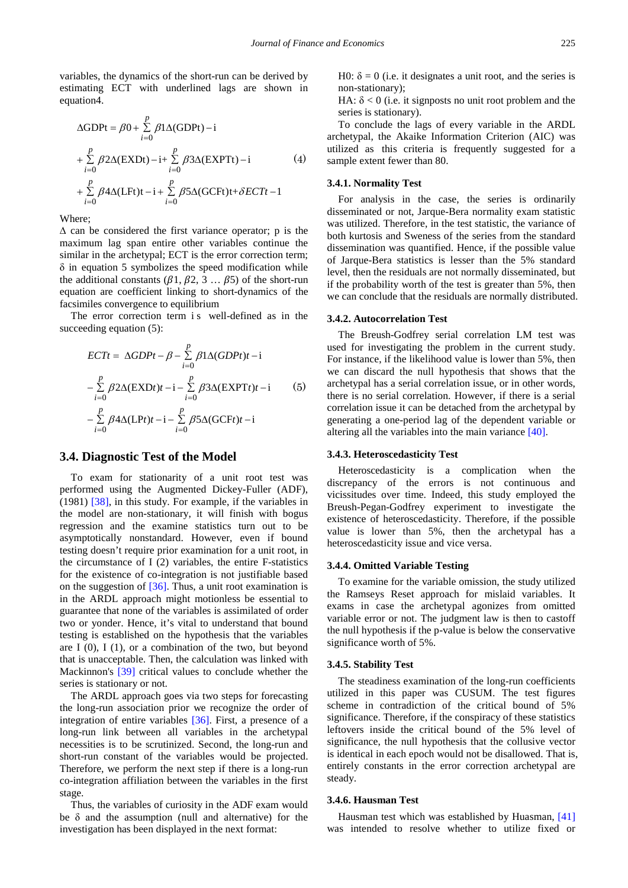variables, the dynamics of the short-run can be derived by estimating ECT with underlined lags are shown in equation4.

$$
\Delta \text{GDPt} = \beta 0 + \sum_{i=0}^{p} \beta 1 \Delta (\text{GDPt}) - i
$$
  
+ 
$$
\sum_{i=0}^{p} \beta 2 \Delta (\text{EXDt}) - i + \sum_{i=0}^{p} \beta 3 \Delta (\text{EXPTt}) - i
$$
 (4)  
+ 
$$
\sum_{i=0}^{p} \beta 4 \Delta (\text{LFt}) t - i + \sum_{i=0}^{p} \beta 5 \Delta (\text{GCFt}) t + \delta ECTt - 1
$$

Where;

 $\Delta$  can be considered the first variance operator; p is the maximum lag span entire other variables continue the similar in the archetypal; ECT is the error correction term;  $\delta$  in equation 5 symbolizes the speed modification while the additional constants ( $\beta$ 1,  $\beta$ 2, 3 ...  $\beta$ 5) of the short-run equation are coefficient linking to short-dynamics of the facsimiles convergence to equilibrium

The error correction term is well-defined as in the succeeding equation (5):

$$
ECTt = \Delta GDPt - \beta - \sum_{i=0}^{p} \beta 1 \Delta (GDPt)t - i
$$
  
\n
$$
- \sum_{i=0}^{p} \beta 2 \Delta (EXDt)t - i - \sum_{i=0}^{p} \beta 3 \Delta (EXPTt)t - i
$$
(5)  
\n
$$
- \sum_{i=0}^{p} \beta 4 \Delta (LPt)t - i - \sum_{i=0}^{p} \beta 5 \Delta (GCFt)t - i
$$

## **3.4. Diagnostic Test of the Model**

To exam for stationarity of a unit root test was performed using the Augmented Dickey-Fuller (ADF), (1981) [\[38\],](#page-9-19) in this study. For example, if the variables in the model are non-stationary, it will finish with bogus regression and the examine statistics turn out to be asymptotically nonstandard. However, even if bound testing doesn't require prior examination for a unit root, in the circumstance of I (2) variables, the entire F-statistics for the existence of co-integration is not justifiable based on the suggestion of [\[36\].](#page-9-17) Thus, a unit root examination is in the ARDL approach might motionless be essential to guarantee that none of the variables is assimilated of order two or yonder. Hence, it's vital to understand that bound testing is established on the hypothesis that the variables are I  $(0)$ , I  $(1)$ , or a combination of the two, but beyond that is unacceptable. Then, the calculation was linked with Mackinnon's [\[39\]](#page-9-20) critical values to conclude whether the series is stationary or not.

The ARDL approach goes via two steps for forecasting the long-run association prior we recognize the order of integration of entire variables [\[36\].](#page-9-17) First, a presence of a long-run link between all variables in the archetypal necessities is to be scrutinized. Second, the long-run and short-run constant of the variables would be projected. Therefore, we perform the next step if there is a long-run co-integration affiliation between the variables in the first stage.

Thus, the variables of curiosity in the ADF exam would be  $\delta$  and the assumption (null and alternative) for the investigation has been displayed in the next format:

H0:  $\delta = 0$  (i.e. it designates a unit root, and the series is non-stationary);

HA:  $\delta$  < 0 (i.e. it signposts no unit root problem and the series is stationary).

To conclude the lags of every variable in the ARDL archetypal, the Akaike Information Criterion (AIC) was utilized as this criteria is frequently suggested for a sample extent fewer than 80.

#### **3.4.1. Normality Test**

For analysis in the case, the series is ordinarily disseminated or not, Jarque-Bera normality exam statistic was utilized. Therefore, in the test statistic, the variance of both kurtosis and Sweness of the series from the standard dissemination was quantified. Hence, if the possible value of Jarque-Bera statistics is lesser than the 5% standard level, then the residuals are not normally disseminated, but if the probability worth of the test is greater than 5%, then we can conclude that the residuals are normally distributed.

#### **3.4.2. Autocorrelation Test**

The Breush-Godfrey serial correlation LM test was used for investigating the problem in the current study. For instance, if the likelihood value is lower than 5%, then we can discard the null hypothesis that shows that the archetypal has a serial correlation issue, or in other words, there is no serial correlation. However, if there is a serial correlation issue it can be detached from the archetypal by generating a one-period lag of the dependent variable or altering all the variables into the main variance [\[40\].](#page-9-21)

#### **3.4.3. Heteroscedasticity Test**

Heteroscedasticity is a complication when the discrepancy of the errors is not continuous and vicissitudes over time. Indeed, this study employed the Breush-Pegan-Godfrey experiment to investigate the existence of heteroscedasticity. Therefore, if the possible value is lower than 5%, then the archetypal has a heteroscedasticity issue and vice versa.

#### **3.4.4. Omitted Variable Testing**

To examine for the variable omission, the study utilized the Ramseys Reset approach for mislaid variables. It exams in case the archetypal agonizes from omitted variable error or not. The judgment law is then to castoff the null hypothesis if the p-value is below the conservative significance worth of 5%.

#### **3.4.5. Stability Test**

The steadiness examination of the long-run coefficients utilized in this paper was CUSUM. The test figures scheme in contradiction of the critical bound of 5% significance. Therefore, if the conspiracy of these statistics leftovers inside the critical bound of the 5% level of significance, the null hypothesis that the collusive vector is identical in each epoch would not be disallowed. That is, entirely constants in the error correction archetypal are steady.

### **3.4.6. Hausman Test**

Hausman test which was established by Huasman, [\[41\]](#page-9-22) was intended to resolve whether to utilize fixed or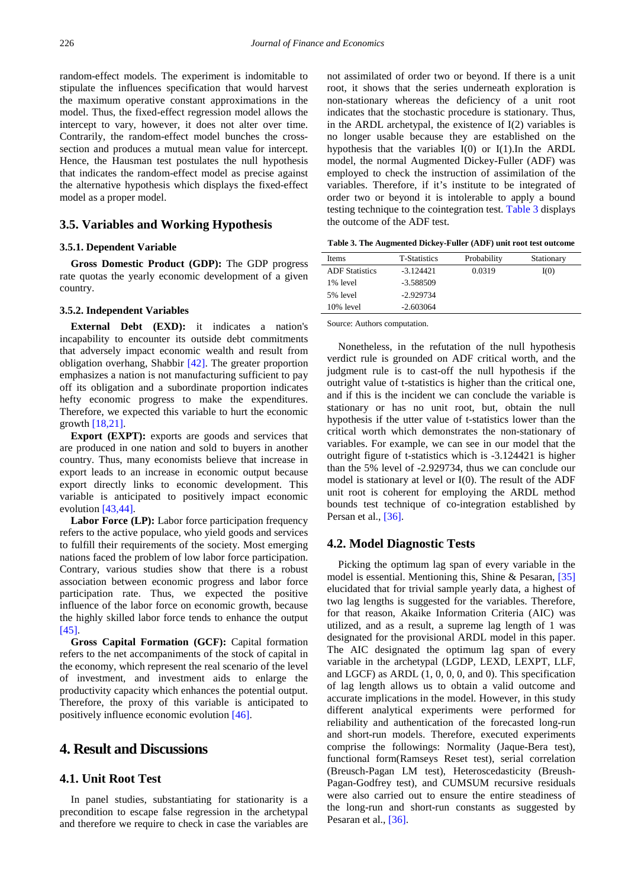random-effect models. The experiment is indomitable to stipulate the influences specification that would harvest the maximum operative constant approximations in the model. Thus, the fixed-effect regression model allows the intercept to vary, however, it does not alter over time. Contrarily, the random-effect model bunches the crosssection and produces a mutual mean value for intercept. Hence, the Hausman test postulates the null hypothesis that indicates the random-effect model as precise against the alternative hypothesis which displays the fixed-effect model as a proper model.

# **3.5. Variables and Working Hypothesis**

### **3.5.1. Dependent Variable**

**Gross Domestic Product (GDP):** The GDP progress rate quotas the yearly economic development of a given country.

## **3.5.2. Independent Variables**

**External Debt (EXD):** it indicates a nation's incapability to encounter its outside debt commitments that adversely impact economic wealth and result from obligation overhang, Shabbir [\[42\].](#page-9-23) The greater proportion emphasizes a nation is not manufacturing sufficient to pay off its obligation and a subordinate proportion indicates hefty economic progress to make the expenditures. Therefore, we expected this variable to hurt the economic growth [\[18,21\].](#page-8-17)

**Export (EXPT):** exports are goods and services that are produced in one nation and sold to buyers in another country. Thus, many economists believe that increase in export leads to an increase in economic output because export directly links to economic development. This variable is anticipated to positively impact economic evolution [\[43,44\].](#page-9-24)

Labor Force (LP): Labor force participation frequency refers to the active populace, who yield goods and services to fulfill their requirements of the society. Most emerging nations faced the problem of low labor force participation. Contrary, various studies show that there is a robust association between economic progress and labor force participation rate. Thus, we expected the positive influence of the labor force on economic growth, because the highly skilled labor force tends to enhance the output [\[45\].](#page-9-25)

**Gross Capital Formation (GCF):** Capital formation refers to the net accompaniments of the stock of capital in the economy, which represent the real scenario of the level of investment, and investment aids to enlarge the productivity capacity which enhances the potential output. Therefore, the proxy of this variable is anticipated to positively influence economic evolution [\[46\].](#page-9-26)

# **4. Result and Discussions**

## **4.1. Unit Root Test**

In panel studies, substantiating for stationarity is a precondition to escape false regression in the archetypal and therefore we require to check in case the variables are not assimilated of order two or beyond. If there is a unit root, it shows that the series underneath exploration is non-stationary whereas the deficiency of a unit root indicates that the stochastic procedure is stationary. Thus, in the ARDL archetypal, the existence of I(2) variables is no longer usable because they are established on the hypothesis that the variables I(0) or I(1).In the ARDL model, the normal Augmented Dickey-Fuller (ADF) was employed to check the instruction of assimilation of the variables. Therefore, if it's institute to be integrated of order two or beyond it is intolerable to apply a bound testing technique to the cointegration test. [Table 3](#page-5-0) displays the outcome of the ADF test.

**Table 3. The Augmented Dickey-Fuller (ADF) unit root test outcome**

<span id="page-5-0"></span>

| <b>Items</b>          | <b>T-Statistics</b> | Probability | Stationary |
|-----------------------|---------------------|-------------|------------|
| <b>ADF</b> Statistics | $-3.124421$         | 0.0319      | I(0)       |
| 1% level              | -3.588509           |             |            |
| 5% level              | $-2.929734$         |             |            |
| 10% level             | $-2.603064$         |             |            |

Source: Authors computation.

Nonetheless, in the refutation of the null hypothesis verdict rule is grounded on ADF critical worth, and the judgment rule is to cast-off the null hypothesis if the outright value of t-statistics is higher than the critical one, and if this is the incident we can conclude the variable is stationary or has no unit root, but, obtain the null hypothesis if the utter value of t-statistics lower than the critical worth which demonstrates the non-stationary of variables. For example, we can see in our model that the outright figure of t-statistics which is -3.124421 is higher than the 5% level of -2.929734, thus we can conclude our model is stationary at level or I(0). The result of the ADF unit root is coherent for employing the ARDL method bounds test technique of co-integration established by Persan et al., [\[36\].](#page-9-17)

## **4.2. Model Diagnostic Tests**

Picking the optimum lag span of every variable in the model is essential. Mentioning this, Shine & Pesaran, [\[35\]](#page-9-16) elucidated that for trivial sample yearly data, a highest of two lag lengths is suggested for the variables. Therefore, for that reason, Akaike Information Criteria (AIC) was utilized, and as a result, a supreme lag length of 1 was designated for the provisional ARDL model in this paper. The AIC designated the optimum lag span of every variable in the archetypal (LGDP, LEXD, LEXPT, LLF, and LGCF) as ARDL (1, 0, 0, 0, and 0). This specification of lag length allows us to obtain a valid outcome and accurate implications in the model. However, in this study different analytical experiments were performed for reliability and authentication of the forecasted long-run and short-run models. Therefore, executed experiments comprise the followings: Normality (Jaque-Bera test), functional form(Ramseys Reset test), serial correlation (Breusch-Pagan LM test), Heteroscedasticity (Breush-Pagan-Godfrey test), and CUMSUM recursive residuals were also carried out to ensure the entire steadiness of the long-run and short-run constants as suggested by Pesaran et al., [\[36\].](#page-9-17)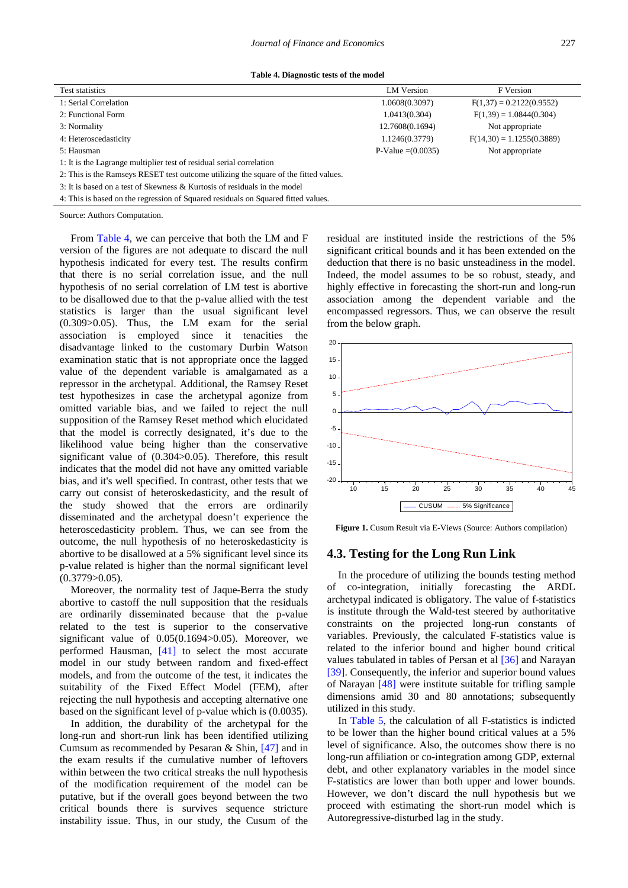**Table 4. Diagnostic tests of the model**

<span id="page-6-0"></span>

| Test statistics                                                                      | LM Version           | F Version                   |  |  |
|--------------------------------------------------------------------------------------|----------------------|-----------------------------|--|--|
| 1: Serial Correlation                                                                | 1.0608(0.3097)       | $F(1,37) = 0.2122(0.9552)$  |  |  |
| 2: Functional Form                                                                   | 1.0413(0.304)        | $F(1,39) = 1.0844(0.304)$   |  |  |
| 3: Normality                                                                         | 12.7608(0.1694)      | Not appropriate             |  |  |
| 4: Heteroscedasticity                                                                | 1.1246(0.3779)       | $F(14,30) = 1.1255(0.3889)$ |  |  |
| 5: Hausman                                                                           | $P-Value = (0.0035)$ | Not appropriate             |  |  |
| 1: It is the Lagrange multiplier test of residual serial correlation                 |                      |                             |  |  |
| 2: This is the Ramseys RESET test outcome utilizing the square of the fitted values. |                      |                             |  |  |
| 3: It is based on a test of Skewness & Kurtosis of residuals in the model            |                      |                             |  |  |

4: This is based on the regression of Squared residuals on Squared fitted values.

Source: Authors Computation.

From [Table 4,](#page-6-0) we can perceive that both the LM and F version of the figures are not adequate to discard the null hypothesis indicated for every test. The results confirm that there is no serial correlation issue, and the null hypothesis of no serial correlation of LM test is abortive to be disallowed due to that the p-value allied with the test statistics is larger than the usual significant level (0.309>0.05). Thus, the LM exam for the serial association is employed since it tenacities the disadvantage linked to the customary Durbin Watson examination static that is not appropriate once the lagged value of the dependent variable is amalgamated as a repressor in the archetypal. Additional, the Ramsey Reset test hypothesizes in case the archetypal agonize from omitted variable bias, and we failed to reject the null supposition of the Ramsey Reset method which elucidated that the model is correctly designated, it's due to the likelihood value being higher than the conservative significant value of (0.304>0.05). Therefore, this result indicates that the model did not have any omitted variable bias, and it's well specified. In contrast, other tests that we carry out consist of heteroskedasticity, and the result of the study showed that the errors are ordinarily disseminated and the archetypal doesn't experience the heteroscedasticity problem. Thus, we can see from the outcome, the null hypothesis of no heteroskedasticity is abortive to be disallowed at a 5% significant level since its p-value related is higher than the normal significant level  $(0.3779>0.05)$ .

Moreover, the normality test of Jaque-Berra the study abortive to castoff the null supposition that the residuals are ordinarily disseminated because that the p-value related to the test is superior to the conservative significant value of 0.05(0.1694>0.05). Moreover, we performed Hausman, [\[41\]](#page-9-22) to select the most accurate model in our study between random and fixed-effect models, and from the outcome of the test, it indicates the suitability of the Fixed Effect Model (FEM), after rejecting the null hypothesis and accepting alternative one based on the significant level of p-value which is (0.0035).

In addition, the durability of the archetypal for the long-run and short-run link has been identified utilizing Cumsum as recommended by Pesaran & Shin, [\[47\]](#page-9-27) and in the exam results if the cumulative number of leftovers within between the two critical streaks the null hypothesis of the modification requirement of the model can be putative, but if the overall goes beyond between the two critical bounds there is survives sequence stricture instability issue. Thus, in our study, the Cusum of the residual are instituted inside the restrictions of the 5% significant critical bounds and it has been extended on the deduction that there is no basic unsteadiness in the model. Indeed, the model assumes to be so robust, steady, and highly effective in forecasting the short-run and long-run association among the dependent variable and the encompassed regressors. Thus, we can observe the result from the below graph.



**Figure 1.** Cusum Result via E-Views (Source: Authors compilation)

## **4.3. Testing for the Long Run Link**

In the procedure of utilizing the bounds testing method of co-integration, initially forecasting the ARDL archetypal indicated is obligatory. The value of f-statistics is institute through the Wald-test steered by authoritative constraints on the projected long-run constants of variables. Previously, the calculated F-statistics value is related to the inferior bound and higher bound critical values tabulated in tables of Persan et al [\[36\]](#page-9-17) and Narayan [\[39\].](#page-9-20) Consequently, the inferior and superior bound values of Narayan [\[48\]](#page-9-28) were institute suitable for trifling sample dimensions amid 30 and 80 annotations; subsequently utilized in this study.

In [Table 5,](#page-7-0) the calculation of all F-statistics is indicted to be lower than the higher bound critical values at a 5% level of significance. Also, the outcomes show there is no long-run affiliation or co-integration among GDP, external debt, and other explanatory variables in the model since F-statistics are lower than both upper and lower bounds. However, we don't discard the null hypothesis but we proceed with estimating the short-run model which is Autoregressive-disturbed lag in the study.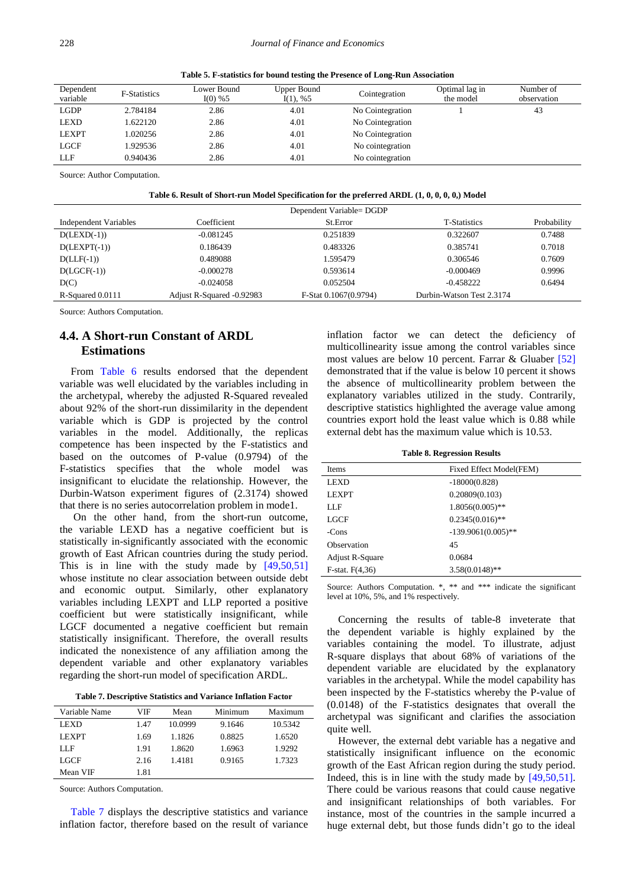**Table 5. F-statistics for bound testing the Presence of Long-Run Association**

<span id="page-7-0"></span>

| Dependent<br>variable | <b>F-Statistics</b> | Lower Bound<br>$I(0) \% 5$ | Upper Bound<br>I(1), %5 | Cointegration    | Optimal lag in<br>the model | Number of<br>observation |
|-----------------------|---------------------|----------------------------|-------------------------|------------------|-----------------------------|--------------------------|
| LGDP                  | 2.784184            | 2.86                       | 4.01                    | No Cointegration |                             | 43                       |
| LEXD                  | 1.622120            | 2.86                       | 4.01                    | No Cointegration |                             |                          |
| <b>LEXPT</b>          | 1.020256            | 2.86                       | 4.01                    | No Cointegration |                             |                          |
| <b>LGCF</b>           | .929536             | 2.86                       | 4.01                    | No cointegration |                             |                          |
| LLF                   | 0.940436            | 2.86                       | 4.01                    | No cointegration |                             |                          |

Source: Author Computation.

**Table 6. Result of Short-run Model Specification for the preferred ARDL (1, 0, 0, 0, 0,) Model**

<span id="page-7-1"></span>

|                       |                           | Dependent Variable= DGDP |                           |             |
|-----------------------|---------------------------|--------------------------|---------------------------|-------------|
| Independent Variables | Coefficient               | St.Error                 | <b>T-Statistics</b>       | Probability |
| $D(LEXD(-1))$         | $-0.081245$               | 0.251839                 | 0.322607                  | 0.7488      |
| $D(LEXPT(-1))$        | 0.186439                  | 0.483326                 | 0.385741                  | 0.7018      |
| $D(LLF(-1))$          | 0.489088                  | 1.595479                 | 0.306546                  | 0.7609      |
| $D(LGCF(-1))$         | $-0.000278$               | 0.593614                 | $-0.000469$               | 0.9996      |
| D(C)                  | $-0.024058$               | 0.052504                 | $-0.458222$               | 0.6494      |
| R-Squared 0.0111      | Adjust R-Squared -0.92983 | F-Stat 0.1067(0.9794)    | Durbin-Watson Test 2.3174 |             |

Source: Authors Computation.

# **4.4. A Short-run Constant of ARDL Estimations**

From [Table 6](#page-7-1) results endorsed that the dependent variable was well elucidated by the variables including in the archetypal, whereby the adjusted R-Squared revealed about 92% of the short-run dissimilarity in the dependent variable which is GDP is projected by the control variables in the model. Additionally, the replicas competence has been inspected by the F-statistics and based on the outcomes of P-value (0.9794) of the F-statistics specifies that the whole model was insignificant to elucidate the relationship. However, the Durbin-Watson experiment figures of (2.3174) showed that there is no series autocorrelation problem in mode1.

On the other hand, from the short-run outcome, the variable LEXD has a negative coefficient but is statistically in-significantly associated with the economic growth of East African countries during the study period. This is in line with the study made by [\[49,50,51\]](#page-9-29) whose institute no clear association between outside debt and economic output. Similarly, other explanatory variables including LEXPT and LLP reported a positive coefficient but were statistically insignificant, while LGCF documented a negative coefficient but remain statistically insignificant. Therefore, the overall results indicated the nonexistence of any affiliation among the dependent variable and other explanatory variables regarding the short-run model of specification ARDL.

|  |  |  |  |  | Table 7. Descriptive Statistics and Variance Inflation Factor |  |  |  |  |
|--|--|--|--|--|---------------------------------------------------------------|--|--|--|--|
|--|--|--|--|--|---------------------------------------------------------------|--|--|--|--|

<span id="page-7-2"></span>

| Variable Name | VIF  | Mean    | Minimum | Maximum |
|---------------|------|---------|---------|---------|
| LEXD          | 1.47 | 10.0999 | 9.1646  | 10.5342 |
| <b>LEXPT</b>  | 1.69 | 1.1826  | 0.8825  | 1.6520  |
| LLF           | 1.91 | 1.8620  | 1.6963  | 1.9292  |
| <b>LGCF</b>   | 2.16 | 1.4181  | 0.9165  | 1.7323  |
| Mean VIF      | 1.81 |         |         |         |

Source: Authors Computation.

[Table 7](#page-7-2) displays the descriptive statistics and variance inflation factor, therefore based on the result of variance inflation factor we can detect the deficiency of multicollinearity issue among the control variables since most values are below 10 percent. Farrar & Gluaber [\[52\]](#page-9-30) demonstrated that if the value is below 10 percent it shows the absence of multicollinearity problem between the explanatory variables utilized in the study. Contrarily, descriptive statistics highlighted the average value among countries export hold the least value which is 0.88 while external debt has the maximum value which is 10.53.

**Table 8. Regression Results**

| <b>Items</b>      | Fixed Effect Model(FEM) |
|-------------------|-------------------------|
| LEXD              | $-18000(0.828)$         |
| <b>LEXPT</b>      | 0.20809(0.103)          |
| LLF               | $1.8056(0.005)$ **      |
| LGCF              | $0.2345(0.016)$ **      |
| -Cons             | $-139.9061(0.005)$ **   |
| Observation       | 45                      |
| Adjust R-Square   | 0.0684                  |
| $F-stat. F(4,36)$ | $3.58(0.0148)$ **       |
|                   |                         |

Source: Authors Computation. \*, \*\* and \*\*\* indicate the significant level at 10%, 5%, and 1% respectively.

Concerning the results of table-8 inveterate that the dependent variable is highly explained by the variables containing the model. To illustrate, adjust R-square displays that about 68% of variations of the dependent variable are elucidated by the explanatory variables in the archetypal. While the model capability has been inspected by the F-statistics whereby the P-value of (0.0148) of the F-statistics designates that overall the archetypal was significant and clarifies the association quite well.

However, the external debt variable has a negative and statistically insignificant influence on the economic growth of the East African region during the study period. Indeed, this is in line with the study made by [\[49,50,51\].](#page-9-29) There could be various reasons that could cause negative and insignificant relationships of both variables. For instance, most of the countries in the sample incurred a huge external debt, but those funds didn't go to the ideal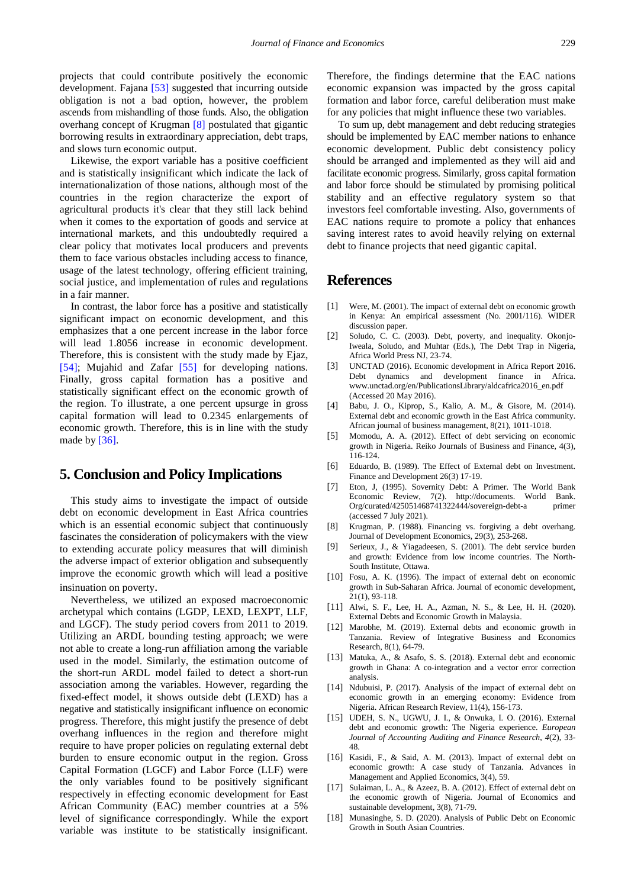projects that could contribute positively the economic development. Fajana [\[53\]](#page-9-31) suggested that incurring outside obligation is not a bad option, however, the problem ascends from mishandling of those funds. Also, the obligation overhang concept of Krugman [\[8\]](#page-8-7) postulated that gigantic borrowing results in extraordinary appreciation, debt traps, and slows turn economic output.

Likewise, the export variable has a positive coefficient and is statistically insignificant which indicate the lack of internationalization of those nations, although most of the countries in the region characterize the export of agricultural products it's clear that they still lack behind when it comes to the exportation of goods and service at international markets, and this undoubtedly required a clear policy that motivates local producers and prevents them to face various obstacles including access to finance, usage of the latest technology, offering efficient training, social justice, and implementation of rules and regulations in a fair manner.

In contrast, the labor force has a positive and statistically significant impact on economic development, and this emphasizes that a one percent increase in the labor force will lead 1.8056 increase in economic development. Therefore, this is consistent with the study made by Ejaz, [\[54\];](#page-9-32) Mujahid and Zafar [\[55\]](#page-9-33) for developing nations. Finally, gross capital formation has a positive and statistically significant effect on the economic growth of the region. To illustrate, a one percent upsurge in gross capital formation will lead to 0.2345 enlargements of economic growth. Therefore, this is in line with the study made by [\[36\].](#page-9-17)

# **5. Conclusion and Policy Implications**

This study aims to investigate the impact of outside debt on economic development in East Africa countries which is an essential economic subject that continuously fascinates the consideration of policymakers with the view to extending accurate policy measures that will diminish the adverse impact of exterior obligation and subsequently improve the economic growth which will lead a positive insinuation on poverty.

Nevertheless, we utilized an exposed macroeconomic archetypal which contains (LGDP, LEXD, LEXPT, LLF, and LGCF). The study period covers from 2011 to 2019. Utilizing an ARDL bounding testing approach; we were not able to create a long-run affiliation among the variable used in the model. Similarly, the estimation outcome of the short-run ARDL model failed to detect a short-run association among the variables. However, regarding the fixed-effect model, it shows outside debt (LEXD) has a negative and statistically insignificant influence on economic progress. Therefore, this might justify the presence of debt overhang influences in the region and therefore might require to have proper policies on regulating external debt burden to ensure economic output in the region. Gross Capital Formation (LGCF) and Labor Force (LLF) were the only variables found to be positively significant respectively in effecting economic development for East African Community (EAC) member countries at a 5% level of significance correspondingly. While the export variable was institute to be statistically insignificant.

Therefore, the findings determine that the EAC nations economic expansion was impacted by the gross capital formation and labor force, careful deliberation must make for any policies that might influence these two variables.

To sum up, debt management and debt reducing strategies should be implemented by EAC member nations to enhance economic development. Public debt consistency policy should be arranged and implemented as they will aid and facilitate economic progress. Similarly, gross capital formation and labor force should be stimulated by promising political stability and an effective regulatory system so that investors feel comfortable investing. Also, governments of EAC nations require to promote a policy that enhances saving interest rates to avoid heavily relying on external debt to finance projects that need gigantic capital.

# **References**

- <span id="page-8-0"></span>[1] Were, M. (2001). The impact of external debt on economic growth in Kenya: An empirical assessment (No. 2001/116). WIDER discussion paper.
- <span id="page-8-1"></span>[2] Soludo, C. C. (2003). Debt, poverty, and inequality. Okonjo-Iweala, Soludo, and Muhtar (Eds.), The Debt Trap in Nigeria, Africa World Press NJ, 23-74.
- <span id="page-8-2"></span>[3] UNCTAD (2016). Economic development in Africa Report 2016. Debt dynamics and development finance in Africa. www.unctad.org/en/PublicationsLibrary/aldcafrica2016\_en.pdf (Accessed 20 May 2016).
- <span id="page-8-3"></span>[4] Babu, J. O., Kiprop, S., Kalio, A. M., & Gisore, M. (2014). External debt and economic growth in the East Africa community. African journal of business management, 8(21), 1011-1018.
- <span id="page-8-4"></span>[5] Momodu, A. A. (2012). Effect of debt servicing on economic growth in Nigeria. Reiko Journals of Business and Finance, 4(3), 116-124.
- <span id="page-8-5"></span>[6] Eduardo, B. (1989). The Effect of External debt on Investment. Finance and Development 26(3) 17-19.
- <span id="page-8-6"></span>[7] Eton, J, (1995). Sovernity Debt: A Primer. The World Bank Economic Review, 7(2). http://documents. World Bank. Org/curated/425051468741322444/sovereign-debt-a primer (accessed 7 July 2021).
- <span id="page-8-7"></span>[8] Krugman, P. (1988). Financing vs. forgiving a debt overhang. Journal of Development Economics, 29(3), 253-268.
- <span id="page-8-8"></span>[9] Serieux, J., & Yiagadeesen, S. (2001). The debt service burden and growth: Evidence from low income countries. The North-South Institute, Ottawa.
- <span id="page-8-9"></span>[10] Fosu, A. K. (1996). The impact of external debt on economic growth in Sub-Saharan Africa. Journal of economic development, 21(1), 93-118.
- <span id="page-8-10"></span>[11] Alwi, S. F., Lee, H. A., Azman, N. S., & Lee, H. H. (2020). External Debts and Economic Growth in Malaysia.
- <span id="page-8-11"></span>[12] Marobhe, M. (2019). External debts and economic growth in Tanzania. Review of Integrative Business and Economics Research, 8(1), 64-79.
- <span id="page-8-12"></span>[13] Matuka, A., & Asafo, S. S. (2018). External debt and economic growth in Ghana: A co-integration and a vector error correction analysis.
- <span id="page-8-13"></span>[14] Ndubuisi, P. (2017). Analysis of the impact of external debt on economic growth in an emerging economy: Evidence from Nigeria. African Research Review, 11(4), 156-173.
- <span id="page-8-14"></span>[15] UDEH, S. N., UGWU, J. I., & Onwuka, I. O. (2016). External debt and economic growth: The Nigeria experience. *European Journal of Accounting Auditing and Finance Research*, *4*(2), 33- 48.
- <span id="page-8-15"></span>[16] Kasidi, F., & Said, A. M. (2013). Impact of external debt on economic growth: A case study of Tanzania. Advances in Management and Applied Economics, 3(4), 59.
- <span id="page-8-16"></span>[17] Sulaiman, L. A., & Azeez, B. A. (2012). Effect of external debt on the economic growth of Nigeria. Journal of Economics and sustainable development, 3(8), 71-79.
- <span id="page-8-17"></span>[18] Munasinghe, S. D. (2020). Analysis of Public Debt on Economic Growth in South Asian Countries.